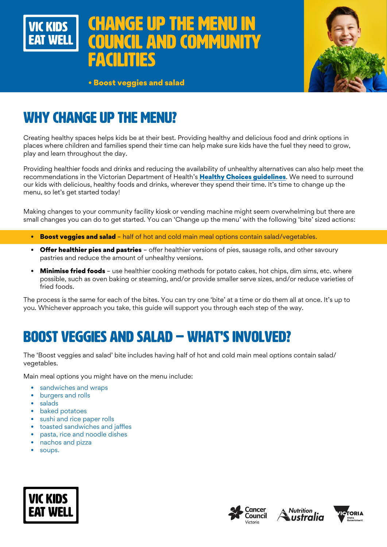



• Boost veggies and salad

# WHY CHANGE UP THE MENU?

Creating healthy spaces helps kids be at their best. Providing healthy and delicious food and drink options in places where children and families spend their time can help make sure kids have the fuel they need to grow, play and learn throughout the day.

Providing healthier foods and drinks and reducing the availability of unhealthy alternatives can also help meet the recommendations in the Victorian Department of Health's [Healthy Choices guidelines](https://www.health.vic.gov.au/preventive-health/healthy-choices). We need to surround our kids with delicious, healthy foods and drinks, wherever they spend their time. It's time to change up the menu, so let's get started today!

Making changes to your community facility kiosk or vending machine might seem overwhelming but there are small changes you can do to get started. You can 'Change up the menu' with the following 'bite' sized actions:

- Boost veggies and salad half of hot and cold main meal options contain salad/vegetables.
- **Offer healthier pies and pastries** offer healthier versions of pies, sausage rolls, and other savoury pastries and reduce the amount of unhealthy versions.
- Minimise fried foods use healthier cooking methods for potato cakes, hot chips, dim sims, etc. where possible, such as oven baking or steaming, and/or provide smaller serve sizes, and/or reduce varieties of fried foods.

The process is the same for each of the bites. You can try one 'bite' at a time or do them all at once. It's up to you. Whichever approach you take, this guide will support you through each step of the way.

# BOOST VEGGIES AND SALAD – WHAT'S INVOLVED?

The 'Boost veggies and salad' bite includes having half of hot and cold main meal options contain salad/ vegetables.

Main meal options you might have on the menu include:

- sandwiches and wraps
- burgers and rolls
- salads
- baked potatoes
- sushi and rice paper rolls
- toasted sandwiches and jaffles
- pasta, rice and noodle dishes
- nachos and pizza
- soups.







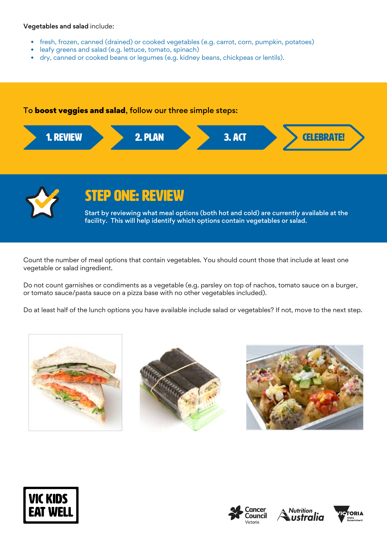#### Vegetables and salad include:

- fresh, frozen, canned (drained) or cooked vegetables (e.g. carrot, corn, pumpkin, potatoes)
- leafy greens and salad (e.g. lettuce, tomato, spinach)
- dry, canned or cooked beans or legumes (e.g. kidney beans, chickpeas or lentils).

#### To boost veggies and salad, follow our three simple steps:





## STEP ONE: REVIEW

Start by reviewing what meal options (both hot and cold) are currently available at the facility. This will help identify which options contain vegetables or salad.

Count the number of meal options that contain vegetables. You should count those that include at least one vegetable or salad ingredient.

Do not count garnishes or condiments as a vegetable (e.g. parsley on top of nachos, tomato sauce on a burger, or tomato sauce/pasta sauce on a pizza base with no other vegetables included).

Do at least half of the lunch options you have available include salad or vegetables? If not, move to the next step.













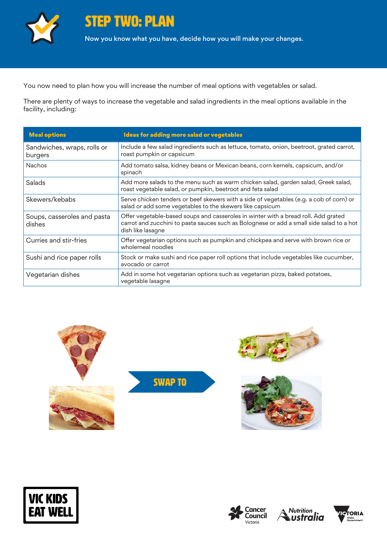

You now need to plan how you will increase the number of meal options with vegetables or salad.

There are plenty of ways to increase the vegetable and salad ingredients in the meal options available in the facility, including:

| <b>Meal options</b>                    | Ideas for adding more salad or vegetables                                                                                                                                                           |
|----------------------------------------|-----------------------------------------------------------------------------------------------------------------------------------------------------------------------------------------------------|
| Sandwiches, wraps, rolls or<br>burgers | Include a few salad ingredients such as lettuce, tomato, onion, beetroot, grated carrot,<br>roast pumpkin or capsicum                                                                               |
| <b>Nachos</b>                          | Add tomato salsa, kidney beans or Mexican beans, corn kernels, capsicum, and/or<br>spinach                                                                                                          |
| Salads                                 | Add more salads to the menu such as warm chicken salad, garden salad, Greek salad,<br>roast vegetable salad, or pumpkin, beetroot and feta salad                                                    |
| Skewers/kebabs                         | Serve chicken tenders or beef skewers with a side of vegetables (e.g. a cob of corn) or<br>salad or add some vegetables to the skewers like capsicum                                                |
| Soups, casseroles and pasta<br>dishes  | Offer vegetable-based soups and casseroles in winter with a bread roll. Add grated<br>carrot and zucchini to pasta sauces such as Bolognese or add a small side salad to a hot<br>dish like lasagne |
| Curries and stir-fries                 | Offer vegetarian options such as pumpkin and chickpea and serve with brown rice or<br>wholemeal noodles                                                                                             |
| Sushi and rice paper rolls             | Stock or make sushi and rice paper roll options that include vegetables like cucumber,<br>avocado or carrot                                                                                         |
| Vegetarian dishes                      | Add in some hot vegetarian options such as vegetarian pizza, baked potatoes,<br>vegetable lasagne                                                                                                   |















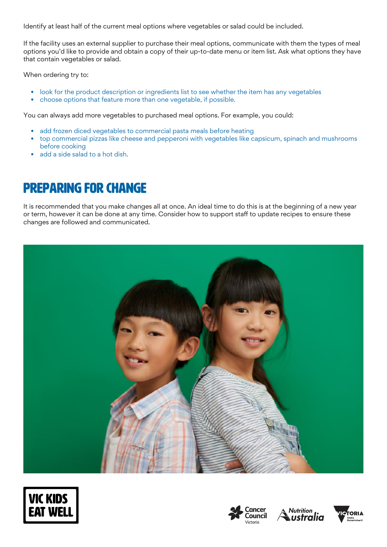Identify at least half of the current meal options where vegetables or salad could be included.

If the facility uses an external supplier to purchase their meal options, communicate with them the types of meal options you'd like to provide and obtain a copy of their up-to-date menu or item list. Ask what options they have that contain vegetables or salad.

When ordering try to:

- look for the product description or ingredients list to see whether the item has any vegetables
- choose options that feature more than one vegetable, if possible.

You can always add more vegetables to purchased meal options. For example, you could:

- add frozen diced vegetables to commercial pasta meals before heating
- top commercial pizzas like cheese and pepperoni with vegetables like capsicum, spinach and mushrooms before cooking
- add a side salad to a hot dish.

# Preparing for change

It is recommended that you make changes all at once. An ideal time to do this is at the beginning of a new year or term, however it can be done at any time. Consider how to support staff to update recipes to ensure these changes are followed and communicated.









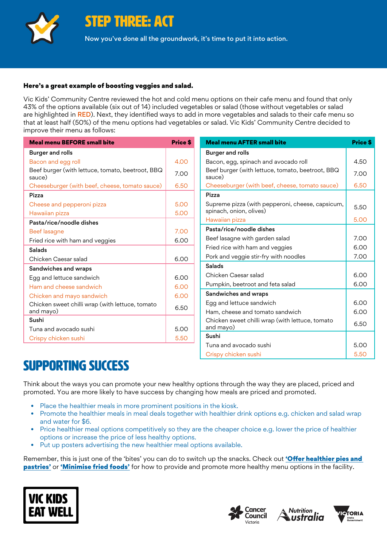

STEP THREE: ACT

Now you've done all the groundwork, it's time to put it into action.

#### Here's a great example of boosting veggies and salad.

Vic Kids' Community Centre reviewed the hot and cold menu options on their cafe menu and found that only 43% of the options available (six out of 14) included vegetables or salad (those without vegetables or salad are highlighted in RED). Next, they identified ways to add in more vegetables and salads to their cafe menu so that at least half (50%) of the menu options had vegetables or salad. Vic Kids' Community Centre decided to improve their menu as follows:

| <b>Meal menu BEFORE small bite</b>                         | <b>Price \$</b> | <b>Meal menu AFTER small bite</b>                                           | Price \$ |
|------------------------------------------------------------|-----------------|-----------------------------------------------------------------------------|----------|
| <b>Burger and rolls</b>                                    |                 | <b>Burger and rolls</b>                                                     |          |
| Bacon and egg roll                                         | 4.00            | Bacon, egg, spinach and avocado roll                                        | 4.50     |
| Beef burger (with lettuce, tomato, beetroot, BBQ<br>sauce) | 7.00            | Beef burger (with lettuce, tomato, beetroot, BBQ<br>sauce)                  | 7.00     |
| Cheeseburger (with beef, cheese, tomato sauce)             | 6.50            | Cheeseburger (with beef, cheese, tomato sauce)                              | 6.50     |
| Pizza                                                      |                 | Pizza                                                                       |          |
| Cheese and pepperoni pizza                                 | 5.00            | Supreme pizza (with pepperoni, cheese, capsicum,<br>spinach, onion, olives) | 5.50     |
| Hawaiian pizza                                             | 5.00            | Hawaiian pizza                                                              | 5.00     |
| Pasta/rice/noodle dishes                                   |                 | Pasta/rice/noodle dishes                                                    |          |
| Beef lasagne                                               | 7.00            | Beef lasagne with garden salad                                              | 7.00     |
| Fried rice with ham and veggies                            | 6.00            | Fried rice with ham and veggies                                             | 6.00     |
| <b>Salads</b>                                              |                 |                                                                             |          |
| Chicken Caesar salad                                       | 6.00            | Pork and veggie stir-fry with noodles                                       | 7.00     |
| Sandwiches and wraps                                       |                 | <b>Salads</b>                                                               |          |
| Egg and lettuce sandwich                                   | 6.00            | Chicken Caesar salad                                                        | 6.00     |
| Ham and cheese sandwich                                    | 6.00            | Pumpkin, beetroot and feta salad                                            | 6.00     |
| Chicken and mayo sandwich                                  | 6.00            | Sandwiches and wraps                                                        |          |
| Chicken sweet chilli wrap (with lettuce, tomato            |                 | Egg and lettuce sandwich                                                    | 6.00     |
| and mayo)                                                  | 6.50            | Ham, cheese and tomato sandwich                                             | 6.00     |
| Sushi                                                      |                 | Chicken sweet chilli wrap (with lettuce, tomato<br>and mayo)                | 6.50     |
| Tuna and avocado sushi                                     | 5.00            | Sushi                                                                       |          |
| Crispy chicken sushi                                       | 5.50            |                                                                             |          |
|                                                            |                 | Tuna and avocado sushi                                                      | 5.00     |

## SUPPORTING SUCCESS

Think about the ways you can promote your new healthy options through the way they are placed, priced and promoted. You are more likely to have success by changing how meals are priced and promoted.

- Place the healthier meals in more prominent positions in the kiosk.
- Promote the healthier meals in meal deals together with healthier drink options e.g. chicken and salad wrap and water for \$6.
- Price healthier meal options competitively so they are the cheaper choice e.g. lower the price of healthier options or increase the price of less healthy options.
- Put up posters advertising the new healthier meal options available.

Remember, this is just one of the 'bites' you can do to switch up the snacks. Check out 'Offer healthier pies and [pastries'](https://www.vickidseatwell.health.vic.gov.au/resources) or ['Minimise fried foods'](https://www.vickidseatwell.health.vic.gov.au/resources) for how to provide and promote more healthy menu options in the facility.







Crispy chicken sushi 5.50